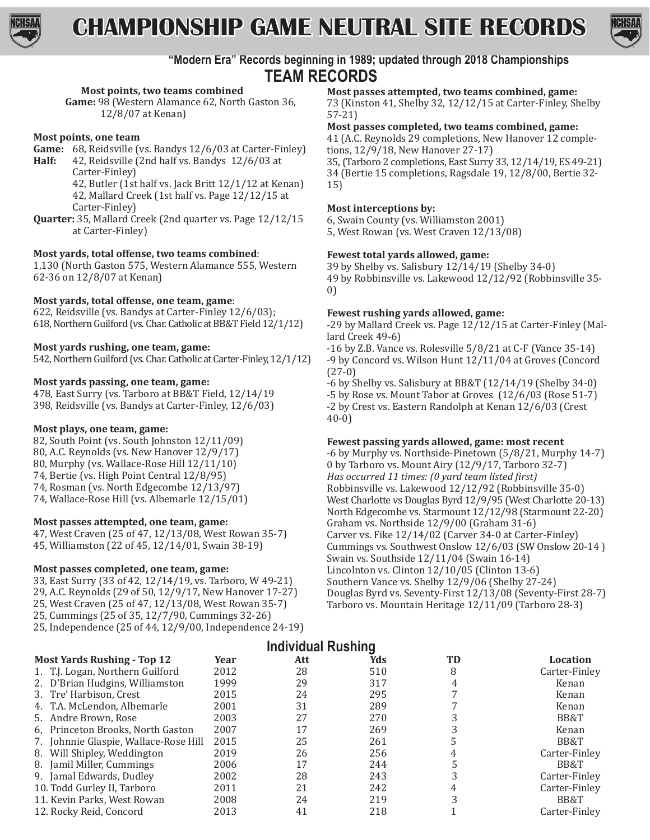

**CHAMPIONSHIP GAME NEUTRAL SITE RECORDS**



# **"Modern Era" Records beginning in 1989; updated through 2018 Championships TEAM RECORDS**

# **Most points, two teams combined**

Game: 98 (Western Alamance 62, North Gaston 36, 12/8/07 at Kenan)

### **Most points, one team**

- **Game:** 68, Reidsville (vs. Bandys 12/6/03 at Carter-Finley)<br>**Half:** 42 Reidsville (2nd half vs. Bandys 12/6/03 at
	- **Half:** 42, Reidsville (2nd half vs. Bandys 12/6/03 at Carter-Finley)

42, Butler (1st half vs. Jack Britt 12/1/12 at Kenan) 42, Mallard Creek (1st half vs. Page 12/12/15 at Carter-Finley)

**Quarter:** 35, Mallard Creek (2nd quarter vs. Page 12/12/15 at Carter-Finley)

# **Most yards, total offense, two teams combined**:

1,130 (North Gaston 575, Western Alamance 555, Western 62-36 on 12/8/07 at Kenan)

# **Most yards, total offense, one team, game**:

622, Reidsville (vs. Bandys at Carter-Finley 12/6/03); 618, Northern Guilford (vs. Char. Catholic at BB&T Field 12/1/12)

# **Most yards rushing, one team, game:**

542, Northern Guilford (vs. Char. Catholic at Carter-Finley, 12/1/12)

# **Most yards passing, one team, game:**

478, East Surry (vs. Tarboro at BB&T Field, 12/14/19 398, Reidsville (vs. Bandys at Carter-Finley, 12/6/03)

### **Most plays, one team, game:**

82, South Point (vs. South Johnston 12/11/09) 80, A.C. Reynolds (vs. New Hanover 12/9/17) 80, Murphy (vs. Wallace-Rose Hill 12/11/10) 74, Bertie (vs. High Point Central 12/8/95) 74, Rosman (vs. North Edgecombe 12/13/97) 74, Wallace-Rose Hill (vs. Albemarle 12/15/01)

### **Most passes attempted, one team, game:**

47, West Craven (25 of 47, 12/13/08, West Rowan 35-7) 45, Williamston (22 of 45, 12/14/01, Swain 38-19)

# **Most passes completed, one team, game:**

- 33, East Surry (33 of 42, 12/14/19, vs. Tarboro, W 49-21)
- 29, A.C. Reynolds (29 of 50, 12/9/17, New Hanover 17-27)
- 25, West Craven (25 of 47, 12/13/08, West Rowan 35-7)
- 25, Cummings (25 of 35, 12/7/90, Cummings 32-26)
- 25, Independence (25 of 44, 12/9/00, Independence 24-19)

# **Most passes attempted, two teams combined, game:**

73 (Kinston 41, Shelby 32, 12/12/15 at Carter-Finley, Shelby 57-21)

#### **Most passes completed, two teams combined, game:**

41 (A.C. Reynolds 29 completions, New Hanover 12 completions, 12/9/18, New Hanover 27-17) 35, (Tarboro 2 completions, East Surry 33, 12/14/19, ES 49-21)

34 (Bertie 15 completions, Ragsdale 19, 12/8/00, Bertie 32- 15)

### **Most interceptions by:**

6, Swain County (vs. Williamston 2001) 5, West Rowan (vs. West Craven 12/13/08)

### **Fewest total yards allowed, game:**

39 by Shelby vs. Salisbury 12/14/19 (Shelby 34-0) 49 by Robbinsville vs. Lakewood 12/12/92 (Robbinsville 35- 0)

# **Fewest rushing yards allowed, game:**

-29 by Mallard Creek vs. Page 12/12/15 at Carter-Finley (Mallard Creek 49-6)

-16 by Z.B. Vance vs. Rolesville 5/8/21 at C-F (Vance 35-14) -9 by Concord vs. Wilson Hunt 12/11/04 at Groves (Concord (27-0)

-6 by Shelby vs. Salisbury at BB&T (12/14/19 (Shelby 34-0) -5 by Rose vs. Mount Tabor at Groves (12/6/03 (Rose 51-7) -2 by Crest vs. Eastern Randolph at Kenan 12/6/03 (Crest 40-0)

### **Fewest passing yards allowed, game: most recent**

-6 by Murphy vs. Northside-Pinetown (5/8/21, Murphy 14-7) 0 by Tarboro vs. Mount Airy (12/9/17, Tarboro 32-7) *Has occurred 11 times: (0 yard team listed first)* Robbinsville vs. Lakewood 12/12/92 (Robbinsville 35-0) West Charlotte vs Douglas Byrd 12/9/95 (West Charlotte 20-13) North Edgecombe vs. Starmount 12/12/98 (Starmount 22-20) Graham vs. Northside 12/9/00 (Graham 31-6) Carver vs. Fike 12/14/02 (Carver 34-0 at Carter-Finley) Cummings vs. Southwest Onslow 12/6/03 (SW Onslow 20-14 ) Swain vs. Southside 12/11/04 (Swain 16-14) Lincolnton vs. Clinton 12/10/05 (Clinton 13-6) Southern Vance vs. Shelby 12/9/06 (Shelby 27-24) Douglas Byrd vs. Seventy-First 12/13/08 (Seventy-First 28-7) Tarboro vs. Mountain Heritage 12/11/09 (Tarboro 28-3)

# **Individual Rushing**

| <b>Most Yards Rushing - Top 12</b>    | Year | Att | Yds | TD | Location      |
|---------------------------------------|------|-----|-----|----|---------------|
| 1. T.J. Logan, Northern Guilford      | 2012 | 28  | 510 | 8  | Carter-Finley |
| 2. D'Brian Hudgins, Williamston       | 1999 | 29  | 317 | 4  | Kenan         |
| 3. Tre' Harbison, Crest               | 2015 | 24  | 295 |    | Kenan         |
| 4. T.A. McLendon, Albemarle           | 2001 | 31  | 289 |    | Kenan         |
| 5. Andre Brown, Rose                  | 2003 | 27  | 270 |    | BB&T          |
| 6, Princeton Brooks, North Gaston     | 2007 | 17  | 269 |    | Kenan         |
| 7. Johnnie Glaspie, Wallace-Rose Hill | 2015 | 25  | 261 |    | BB&T          |
| 8. Will Shipley, Weddington           | 2019 | 26  | 256 |    | Carter-Finley |
| 8. Jamil Miller, Cummings             | 2006 | 17  | 244 |    | BB&T          |
| 9. Jamal Edwards, Dudley              | 2002 | 28  | 243 |    | Carter-Finley |
| 10. Todd Gurley II, Tarboro           | 2011 | 21  | 242 |    | Carter-Finley |
| 11. Kevin Parks, West Rowan           | 2008 | 24  | 219 |    | BB&T          |
| 12. Rocky Reid, Concord               | 2013 | 41  | 218 |    | Carter-Finley |
|                                       |      |     |     |    |               |